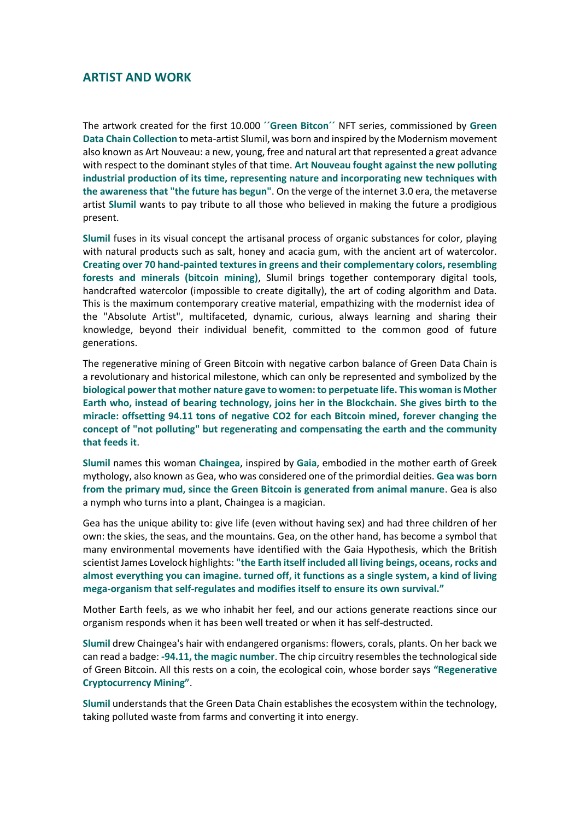## **ARTIST AND WORK**

The artwork created for the first 10.000 **´´Green Bitcon´´** NFT series, commissioned by **Green Data Chain Collection** to meta-artist Slumil, was born and inspired by the Modernism movement also known as Art Nouveau: a new, young, free and natural art that represented a great advance with respect to the dominant styles of that time. **Art Nouveau fought against the new polluting industrial production of its time, representing nature and incorporating new techniques with the awareness that "the future has begun"**. On the verge of the internet 3.0 era, the metaverse artist **Slumil** wants to pay tribute to all those who believed in making the future a prodigious present.

**Slumil** fuses in its visual concept the artisanal process of organic substances for color, playing with natural products such as salt, honey and acacia gum, with the ancient art of watercolor. **Creating over 70 hand-painted textures in greens and their complementary colors, resembling forests and minerals (bitcoin mining)**, Slumil brings together contemporary digital tools, handcrafted watercolor (impossible to create digitally), the art of coding algorithm and Data. This is the maximum contemporary creative material, empathizing with the modernist idea of the "Absolute Artist", multifaceted, dynamic, curious, always learning and sharing their knowledge, beyond their individual benefit, committed to the common good of future generations.

The regenerative mining of Green Bitcoin with negative carbon balance of Green Data Chain is a revolutionary and historical milestone, which can only be represented and symbolized by the **biological power that mother nature gave to women: to perpetuate life. This woman is Mother Earth who, instead of bearing technology, joins her in the Blockchain. She gives birth to the miracle: offsetting 94.11 tons of negative CO2 for each Bitcoin mined, forever changing the concept of "not polluting" but regenerating and compensating the earth and the community that feeds it**.

**Slumil** names this woman **Chaingea**, inspired by **Gaia**, embodied in the mother earth of Greek mythology, also known as Gea, who was considered one of the primordial deities. **Gea was born from the primary mud, since the Green Bitcoin is generated from animal manure**. Gea is also a nymph who turns into a plant, Chaingea is a magician.

Gea has the unique ability to: give life (even without having sex) and had three children of her own: the skies, the seas, and the mountains. Gea, on the other hand, has become a symbol that many environmental movements have identified with the Gaia Hypothesis, which the British scientist James Lovelock highlights: **"the Earth itself included all living beings, oceans, rocks and almost everything you can imagine. turned off, it functions as a single system, a kind of living mega-organism that self-regulates and modifies itself to ensure its own survival."**

Mother Earth feels, as we who inhabit her feel, and our actions generate reactions since our organism responds when it has been well treated or when it has self-destructed.

**Slumil** drew Chaingea's hair with endangered organisms: flowers, corals, plants. On her back we can read a badge: **-94.11, the magic number**. The chip circuitry resembles the technological side of Green Bitcoin. All this rests on a coin, the ecological coin, whose border says **"Regenerative Cryptocurrency Mining"**.

**Slumil** understands that the Green Data Chain establishes the ecosystem within the technology, taking polluted waste from farms and converting it into energy.